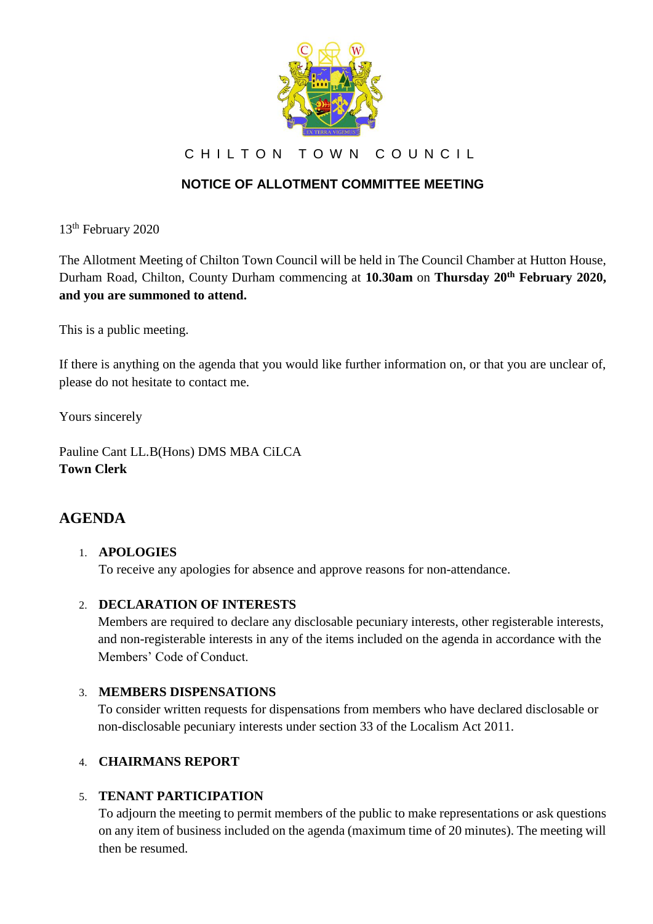

CHILTON TOWN COUNCIL

# **NOTICE OF ALLOTMENT COMMITTEE MEETING**

13<sup>th</sup> February 2020

The Allotment Meeting of Chilton Town Council will be held in The Council Chamber at Hutton House, Durham Road, Chilton, County Durham commencing at **10.30am** on **Thursday 20th February 2020, and you are summoned to attend.**

This is a public meeting.

If there is anything on the agenda that you would like further information on, or that you are unclear of, please do not hesitate to contact me.

Yours sincerely

Pauline Cant LL.B(Hons) DMS MBA CiLCA **Town Clerk**

# **AGENDA**

## 1. **APOLOGIES**

To receive any apologies for absence and approve reasons for non-attendance.

#### 2. **DECLARATION OF INTERESTS**

Members are required to declare any disclosable pecuniary interests, other registerable interests, and non-registerable interests in any of the items included on the agenda in accordance with the Members' Code of Conduct.

## 3. **MEMBERS DISPENSATIONS**

To consider written requests for dispensations from members who have declared disclosable or non-disclosable pecuniary interests under section 33 of the Localism Act 2011.

## 4. **CHAIRMANS REPORT**

#### 5. **TENANT PARTICIPATION**

To adjourn the meeting to permit members of the public to make representations or ask questions on any item of business included on the agenda (maximum time of 20 minutes). The meeting will then be resumed.